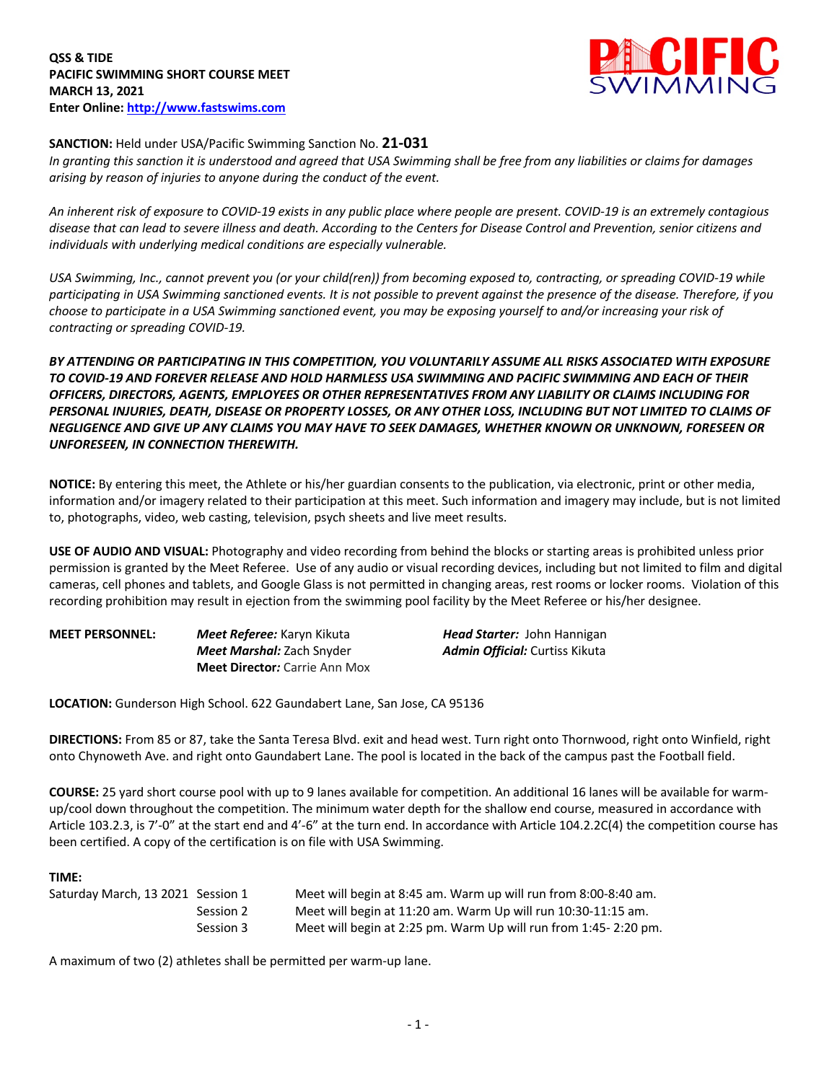

## **SANCTION:** Held under USA/Pacific Swimming Sanction No. **21-031**

*In granting this sanction it is understood and agreed that USA Swimming shall be free from any liabilities or claims for damages arising by reason of injuries to anyone during the conduct of the event.* 

*An inherent risk of exposure to COVID-19 exists in any public place where people are present. COVID-19 is an extremely contagious disease that can lead to severe illness and death. According to the Centers for Disease Control and Prevention, senior citizens and individuals with underlying medical conditions are especially vulnerable.*

*USA Swimming, Inc., cannot prevent you (or your child(ren)) from becoming exposed to, contracting, or spreading COVID-19 while participating in USA Swimming sanctioned events. It is not possible to prevent against the presence of the disease. Therefore, if you choose to participate in a USA Swimming sanctioned event, you may be exposing yourself to and/or increasing your risk of contracting or spreading COVID-19.*

*BY ATTENDING OR PARTICIPATING IN THIS COMPETITION, YOU VOLUNTARILY ASSUME ALL RISKS ASSOCIATED WITH EXPOSURE TO COVID-19 AND FOREVER RELEASE AND HOLD HARMLESS USA SWIMMING AND PACIFIC SWIMMING AND EACH OF THEIR OFFICERS, DIRECTORS, AGENTS, EMPLOYEES OR OTHER REPRESENTATIVES FROM ANY LIABILITY OR CLAIMS INCLUDING FOR PERSONAL INJURIES, DEATH, DISEASE OR PROPERTY LOSSES, OR ANY OTHER LOSS, INCLUDING BUT NOT LIMITED TO CLAIMS OF NEGLIGENCE AND GIVE UP ANY CLAIMS YOU MAY HAVE TO SEEK DAMAGES, WHETHER KNOWN OR UNKNOWN, FORESEEN OR UNFORESEEN, IN CONNECTION THEREWITH.*

**NOTICE:** By entering this meet, the Athlete or his/her guardian consents to the publication, via electronic, print or other media, information and/or imagery related to their participation at this meet. Such information and imagery may include, but is not limited to, photographs, video, web casting, television, psych sheets and live meet results.

**USE OF AUDIO AND VISUAL:** Photography and video recording from behind the blocks or starting areas is prohibited unless prior permission is granted by the Meet Referee. Use of any audio or visual recording devices, including but not limited to film and digital cameras, cell phones and tablets, and Google Glass is not permitted in changing areas, rest rooms or locker rooms. Violation of this recording prohibition may result in ejection from the swimming pool facility by the Meet Referee or his/her designee.

| <b>MEET PERSONNEL:</b> | Meet Referee: Karyn Kikuta           | <b>Head Starter:</b> John Hannigan    |
|------------------------|--------------------------------------|---------------------------------------|
|                        | <b>Meet Marshal:</b> Zach Snyder     | <b>Admin Official:</b> Curtiss Kikuta |
|                        | <b>Meet Director:</b> Carrie Ann Mox |                                       |

**LOCATION:** Gunderson High School. 622 Gaundabert Lane, San Jose, CA 95136

**DIRECTIONS:** From 85 or 87, take the Santa Teresa Blvd. exit and head west. Turn right onto Thornwood, right onto Winfield, right onto Chynoweth Ave. and right onto Gaundabert Lane. The pool is located in the back of the campus past the Football field.

**COURSE:** 25 yard short course pool with up to 9 lanes available for competition. An additional 16 lanes will be available for warmup/cool down throughout the competition. The minimum water depth for the shallow end course, measured in accordance with Article 103.2.3, is 7'-0" at the start end and 4'-6" at the turn end. In accordance with Article 104.2.2C(4) the competition course has been certified. A copy of the certification is on file with USA Swimming.

### **TIME:**

| Saturday March, 13 2021 Session 1 |           | Meet will begin at 8:45 am. Warm up will run from 8:00-8:40 am. |
|-----------------------------------|-----------|-----------------------------------------------------------------|
|                                   | Session 2 | Meet will begin at 11:20 am. Warm Up will run 10:30-11:15 am.   |
|                                   | Session 3 | Meet will begin at 2:25 pm. Warm Up will run from 1:45-2:20 pm. |

A maximum of two (2) athletes shall be permitted per warm-up lane.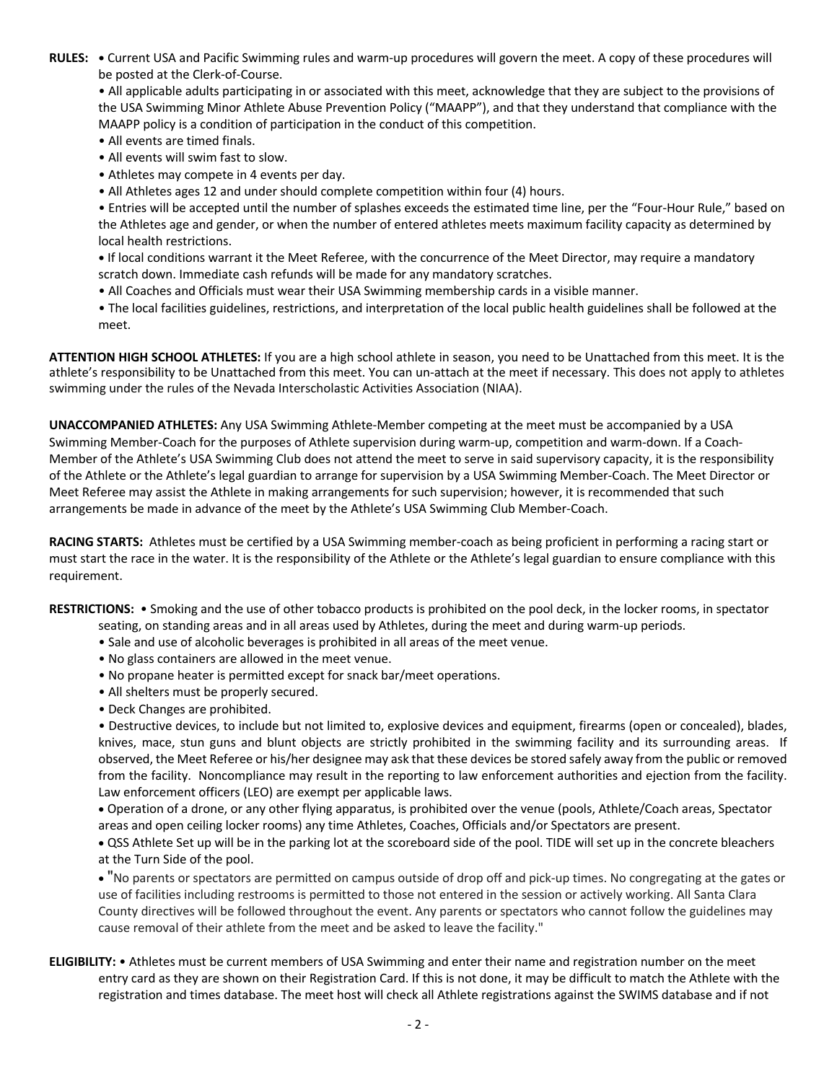**RULES: •** Current USA and Pacific Swimming rules and warm-up procedures will govern the meet. A copy of these procedures will be posted at the Clerk-of-Course.

• All applicable adults participating in or associated with this meet, acknowledge that they are subject to the provisions of the USA Swimming Minor Athlete Abuse Prevention Policy ("MAAPP"), and that they understand that compliance with the MAAPP policy is a condition of participation in the conduct of this competition.

- All events are timed finals.
- All events will swim fast to slow.
- Athletes may compete in 4 events per day.
- All Athletes ages 12 and under should complete competition within four (4) hours.

• Entries will be accepted until the number of splashes exceeds the estimated time line, per the "Four-Hour Rule," based on the Athletes age and gender, or when the number of entered athletes meets maximum facility capacity as determined by local health restrictions.

**•** If local conditions warrant it the Meet Referee, with the concurrence of the Meet Director, may require a mandatory scratch down. Immediate cash refunds will be made for any mandatory scratches.

- All Coaches and Officials must wear their USA Swimming membership cards in a visible manner.
- The local facilities guidelines, restrictions, and interpretation of the local public health guidelines shall be followed at the meet.

**ATTENTION HIGH SCHOOL ATHLETES:** If you are a high school athlete in season, you need to be Unattached from this meet. It is the athlete's responsibility to be Unattached from this meet. You can un-attach at the meet if necessary. This does not apply to athletes swimming under the rules of the Nevada Interscholastic Activities Association (NIAA).

**UNACCOMPANIED ATHLETES:** Any USA Swimming Athlete-Member competing at the meet must be accompanied by a USA Swimming Member-Coach for the purposes of Athlete supervision during warm-up, competition and warm-down. If a Coach-Member of the Athlete's USA Swimming Club does not attend the meet to serve in said supervisory capacity, it is the responsibility of the Athlete or the Athlete's legal guardian to arrange for supervision by a USA Swimming Member-Coach. The Meet Director or Meet Referee may assist the Athlete in making arrangements for such supervision; however, it is recommended that such arrangements be made in advance of the meet by the Athlete's USA Swimming Club Member-Coach.

**RACING STARTS:** Athletes must be certified by a USA Swimming member-coach as being proficient in performing a racing start or must start the race in the water. It is the responsibility of the Athlete or the Athlete's legal guardian to ensure compliance with this requirement.

**RESTRICTIONS:** • Smoking and the use of other tobacco products is prohibited on the pool deck, in the locker rooms, in spectator

- seating, on standing areas and in all areas used by Athletes, during the meet and during warm-up periods.
- Sale and use of alcoholic beverages is prohibited in all areas of the meet venue.
- No glass containers are allowed in the meet venue.
- No propane heater is permitted except for snack bar/meet operations.
- All shelters must be properly secured.
- Deck Changes are prohibited.

• Destructive devices, to include but not limited to, explosive devices and equipment, firearms (open or concealed), blades, knives, mace, stun guns and blunt objects are strictly prohibited in the swimming facility and its surrounding areas. If observed, the Meet Referee or his/her designee may ask that these devices be stored safely away from the public or removed from the facility. Noncompliance may result in the reporting to law enforcement authorities and ejection from the facility. Law enforcement officers (LEO) are exempt per applicable laws.

• Operation of a drone, or any other flying apparatus, is prohibited over the venue (pools, Athlete/Coach areas, Spectator areas and open ceiling locker rooms) any time Athletes, Coaches, Officials and/or Spectators are present.

• QSS Athlete Set up will be in the parking lot at the scoreboard side of the pool. TIDE will set up in the concrete bleachers at the Turn Side of the pool.

• "No parents or spectators are permitted on campus outside of drop off and pick-up times. No congregating at the gates or use of facilities including restrooms is permitted to those not entered in the session or actively working. All Santa Clara County directives will be followed throughout the event. Any parents or spectators who cannot follow the guidelines may cause removal of their athlete from the meet and be asked to leave the facility."

**ELIGIBILITY:** • Athletes must be current members of USA Swimming and enter their name and registration number on the meet entry card as they are shown on their Registration Card. If this is not done, it may be difficult to match the Athlete with the registration and times database. The meet host will check all Athlete registrations against the SWIMS database and if not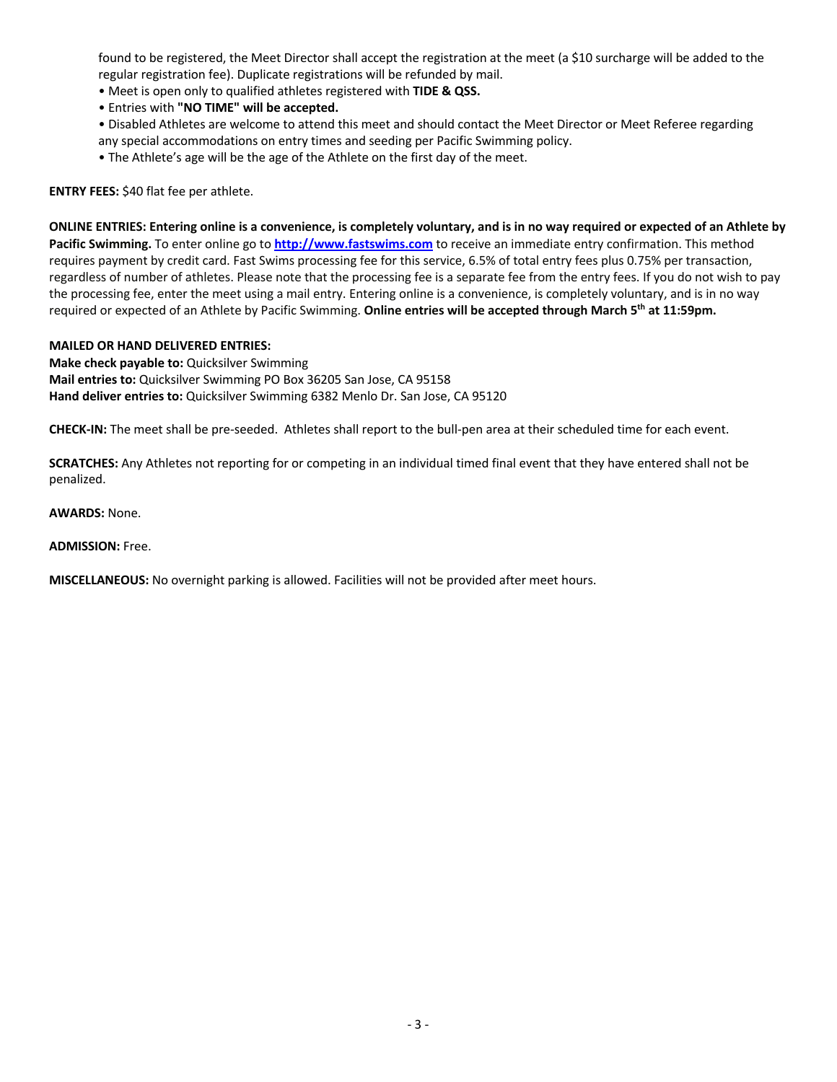found to be registered, the Meet Director shall accept the registration at the meet (a \$10 surcharge will be added to the regular registration fee). Duplicate registrations will be refunded by mail.

- Meet is open only to qualified athletes registered with **TIDE & QSS.**
- Entries with **"NO TIME" will be accepted.**
- Disabled Athletes are welcome to attend this meet and should contact the Meet Director or Meet Referee regarding any special accommodations on entry times and seeding per Pacific Swimming policy.
- The Athlete's age will be the age of the Athlete on the first day of the meet.

**ENTRY FEES:** \$40 flat fee per athlete.

**ONLINE ENTRIES: Entering online is a convenience, is completely voluntary, and is in no way required or expected of an Athlete by Pacific Swimming.** To enter online go to **http://www.fastswims.com** to receive an immediate entry confirmation. This method requires payment by credit card. Fast Swims processing fee for this service, 6.5% of total entry fees plus 0.75% per transaction, regardless of number of athletes. Please note that the processing fee is a separate fee from the entry fees. If you do not wish to pay the processing fee, enter the meet using a mail entry. Entering online is a convenience, is completely voluntary, and is in no way required or expected of an Athlete by Pacific Swimming. **Online entries will be accepted through March 5th at 11:59pm.**

#### **MAILED OR HAND DELIVERED ENTRIES:**

**Make check payable to:** Quicksilver Swimming **Mail entries to:** Quicksilver Swimming PO Box 36205 San Jose, CA 95158 **Hand deliver entries to:** Quicksilver Swimming 6382 Menlo Dr. San Jose, CA 95120

**CHECK-IN:** The meet shall be pre-seeded. Athletes shall report to the bull-pen area at their scheduled time for each event.

**SCRATCHES:** Any Athletes not reporting for or competing in an individual timed final event that they have entered shall not be penalized.

**AWARDS:** None.

**ADMISSION:** Free.

**MISCELLANEOUS:** No overnight parking is allowed. Facilities will not be provided after meet hours.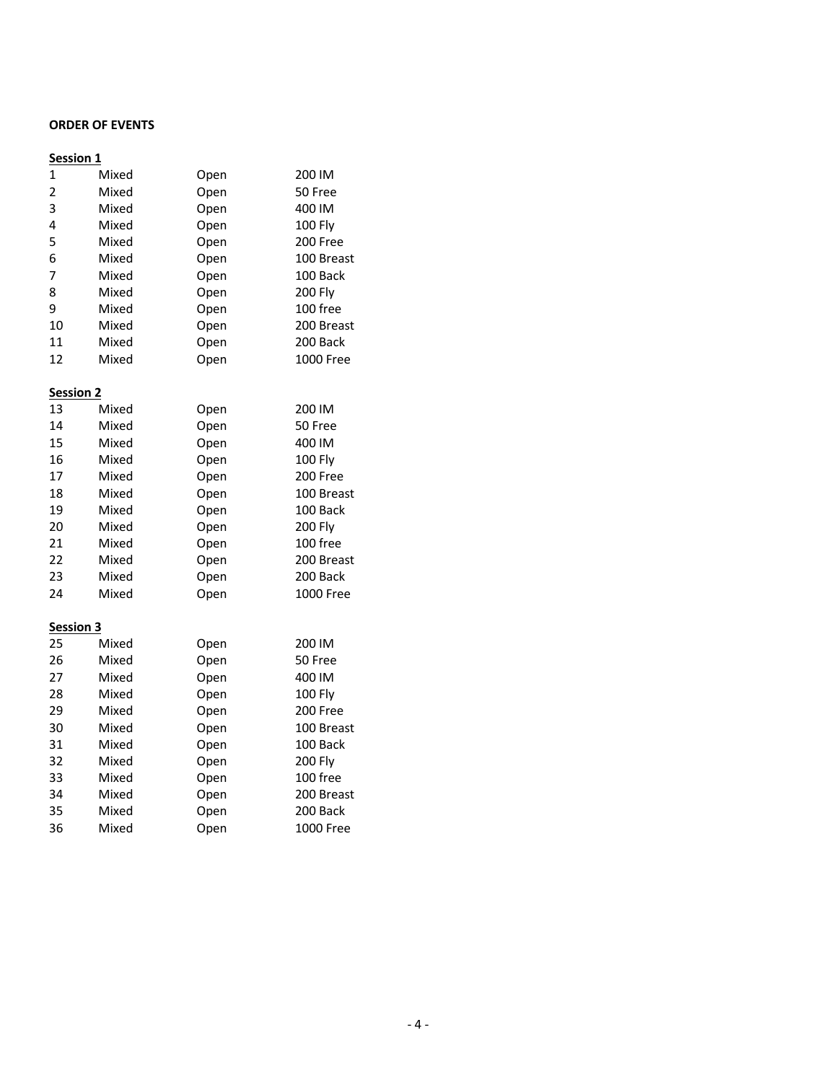## **ORDER OF EVENTS**

# **Session 1**

| $\mathbf{1}$     | Mixed | Open | 200 IM           |
|------------------|-------|------|------------------|
| 2                | Mixed | Open | 50 Free          |
| 3                | Mixed | Open | 400 IM           |
| 4                | Mixed | Open | <b>100 Fly</b>   |
| 5                | Mixed | Open | 200 Free         |
| 6                | Mixed | Open | 100 Breast       |
| 7                | Mixed | Open | 100 Back         |
| 8                | Mixed | Open | <b>200 Fly</b>   |
| 9                | Mixed | Open | 100 free         |
| 10               | Mixed | Open | 200 Breast       |
| 11               | Mixed | Open | 200 Back         |
| 12               | Mixed | Open | <b>1000 Free</b> |
| <b>Session 2</b> |       |      |                  |
| 13               | Mixed | Open | 200 IM           |
| 14               | Mixed | Open | 50 Free          |
| 15               | Mixed | Open | 400 IM           |
| 16               | Mixed | Open | 100 Fly          |
| 17               | Mixed | Open | 200 Free         |
| 18               | Mixed | Open | 100 Breast       |
| 19               | Mixed | Open | 100 Back         |
| 20               | Mixed | Open | <b>200 Fly</b>   |
| 21               | Mixed | Open | 100 free         |
| 22               | Mixed | Open | 200 Breast       |
| 23               | Mixed | Open | 200 Back         |
| 24               | Mixed | Open | 1000 Free        |
| <b>Session 3</b> |       |      |                  |
| 25               | Mixed | Open | 200 IM           |
| 26               | Mixed | Open | 50 Free          |
| 27               | Mixed | Open | 400 IM           |
| 28               | Mixed | Open | <b>100 Fly</b>   |
| 29               | Mixed | Open | 200 Free         |
| 30               | Mixed | Open | 100 Breast       |
| 31               | Mixed | Open | 100 Back         |
| 32               | Mixed | Open | <b>200 Fly</b>   |
| 33               | Mixed | Open | 100 free         |
| 34               | Mixed | Open | 200 Breast       |
| 35               | Mixed | Open | 200 Back         |
| 36               | Mixed | Open | 1000 Free        |